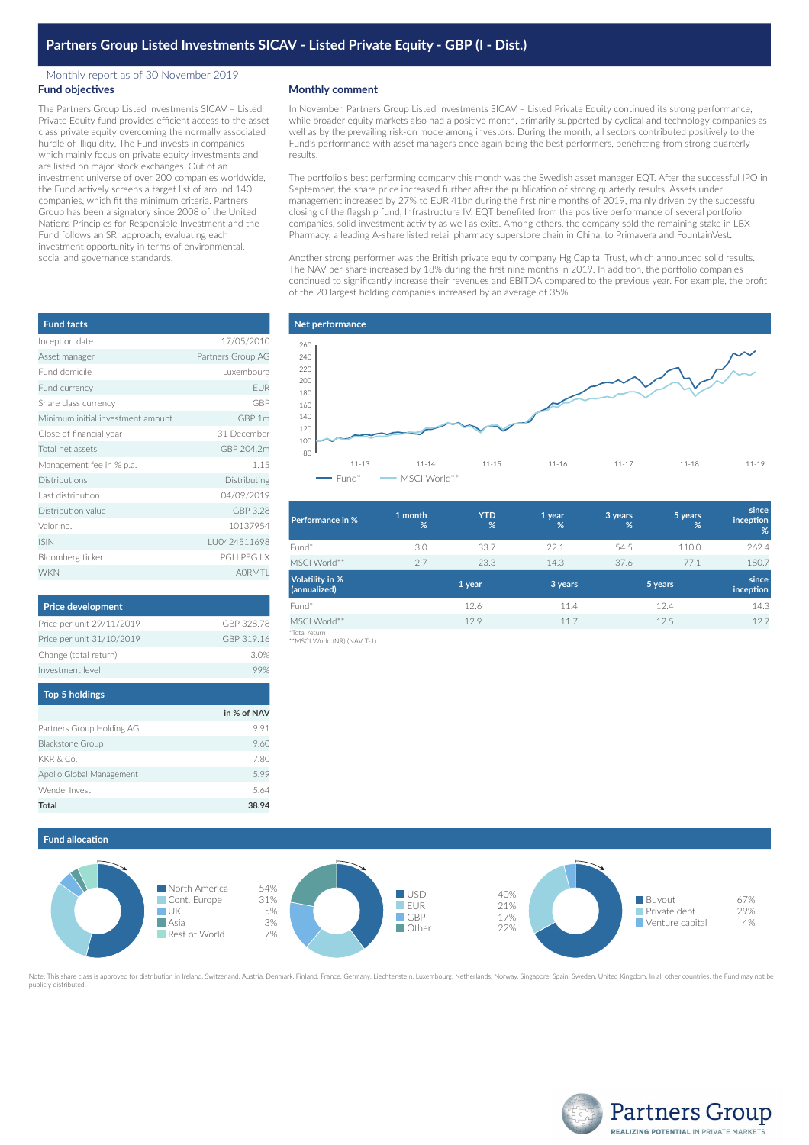### Monthly report as of 30 November 2019 **Fund objectives**

The Partners Group Listed Investments SICAV – Listed Private Equity fund provides efficient access to the asset class private equity overcoming the normally associated hurdle of illiquidity. The Fund invests in companies which mainly focus on private equity investments and are listed on major stock exchanges. Out of an investment universe of over 200 companies worldwide, the Fund actively screens a target list of around 140 companies, which fit the minimum criteria. Partners Group has been a signatory since 2008 of the United Nations Principles for Responsible Investment and the Fund follows an SRI approach, evaluating each investment opportunity in terms of environmental, social and governance standards.

| <b>Fund facts</b>                 |                   |
|-----------------------------------|-------------------|
| Inception date                    | 17/05/2010        |
| Asset manager                     | Partners Group AG |
| Fund domicile                     | Luxembourg        |
| Fund currency                     | <b>EUR</b>        |
| Share class currency              | GBP               |
| Minimum initial investment amount | GBP 1m            |
| Close of financial year           | 31 December       |
| Total net assets                  | GBP 204.2m        |
| Management fee in % p.a.          | 1.15              |
| <b>Distributions</b>              | Distributing      |
| Last distribution                 | 04/09/2019        |
| Distribution value                | GBP 3.28          |
| Valor no.                         | 10137954          |
| <b>ISIN</b>                       | LU0424511698      |
| Bloomberg ticker                  | <b>PGLLPEG LX</b> |
| <b>WKN</b>                        | <b>AORMTI</b>     |

| <b>Price development</b>  |            |
|---------------------------|------------|
| Price per unit 29/11/2019 | GBP 328.78 |
| Price per unit 31/10/2019 | GBP 319.16 |
| Change (total return)     | 3.0%       |
| Investment level          |            |

| <b>Top 5 holdings</b>     |             |
|---------------------------|-------------|
|                           | in % of NAV |
| Partners Group Holding AG | 9.91        |
| <b>Blackstone Group</b>   | 9.60        |
| KKR & Co.                 | 7.80        |
| Apollo Global Management  | 5.99        |
| Wendel Invest             | 5.64        |
| Total                     | 38.94       |

### **Monthly comment**

In November, Partners Group Listed Investments SICAV – Listed Private Equity continued its strong performance, while broader equity markets also had a positive month, primarily supported by cyclical and technology companies as well as by the prevailing risk-on mode among investors. During the month, all sectors contributed positively to the Fund's performance with asset managers once again being the best performers, benefitting from strong quarterly results.

The portfolio's best performing company this month was the Swedish asset manager EQT. After the successful IPO in September, the share price increased further after the publication of strong quarterly results. Assets under management increased by 27% to EUR 41bn during the first nine months of 2019, mainly driven by the successful closing of the flagship fund, Infrastructure IV. EQT benefited from the positive performance of several portfolio companies, solid investment activity as well as exits. Among others, the company sold the remaining stake in LBX Pharmacy, a leading A-share listed retail pharmacy superstore chain in China, to Primavera and FountainVest.

Another strong performer was the British private equity company Hg Capital Trust, which announced solid results. The NAV per share increased by 18% during the first nine months in 2019. In addition, the portfolio companies continued to significantly increase their revenues and EBITDA compared to the previous year. For example, the profit of the 20 largest holding companies increased by an average of 35%.





| <b>Performance in %</b>                | 1 month<br>% | <b>YTD</b><br>% | 1 year<br>% | 3 years<br>% | 5 years<br>% | since<br>inception<br>%   |
|----------------------------------------|--------------|-----------------|-------------|--------------|--------------|---------------------------|
| Fund*                                  | 3.0          | 33.7            | 22.1        | 54.5         | 110.0        | 262.4                     |
| MSCI World**                           | 2.7          | 23.3            | 14.3        | 37.6         | 77.1         | 180.7                     |
| <b>Volatility in %</b><br>(annualized) |              | 1 year          | 3 years     | 5 years      |              | since<br><b>inception</b> |
| Fund*                                  |              | 12.6            | 11.4        |              | 12.4         | 14.3                      |
| MSCI World**<br>*Total return          |              | 12.9            | 11.7        |              | 12.5         | 12.7                      |

\*Total return \*\*MSCI World (NR) (NAV T-1)

# **Fund allocation**



Note: This share class is approved for distribution in Ireland, Switzerland, Austria, Denmark, Finland, France, Germany, Liechtenstein, Luxembourg, Netherlands, Norway, Singapore, Spain, Sweden, United Kingdom. In all othe publicly distributed.